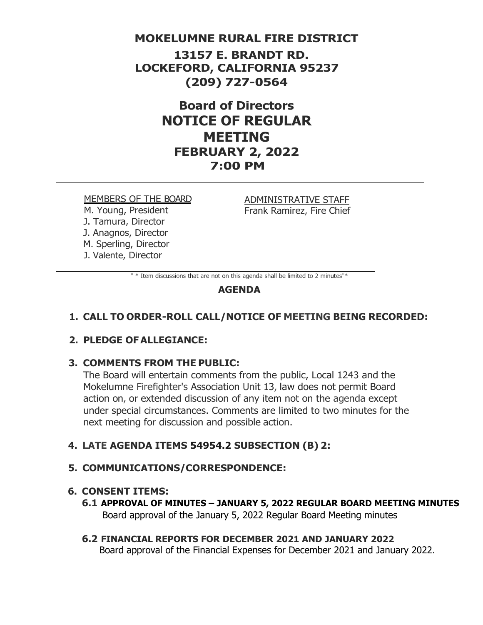# **MOKELUMNE RURAL FIRE DISTRICT**

**13157 E. BRANDT RD. LOCKEFORD, CALIFORNIA 95237 (209) 727-0564**

> **Board of Directors NOTICE OF REGULAR MEETING FEBRUARY 2, 2022 7:00 PM**

#### MEMBERS OF THE BOARD

M. Young, President J. Tamura, Director J. Anagnos, Director M. Sperling, Director J. Valente, Director

ADMINISTRATIVE STAFF Frank Ramirez, Fire Chief

" \* Item discussions that are not on this agenda shall be limited to 2 minutes"\*

# **AGENDA**

# **1. CALL TO ORDER-ROLL CALL/NOTICE OF MEETING BEING RECORDED:**

# **2. PLEDGE OFALLEGIANCE:**

## **3. COMMENTS FROM THE PUBLIC:**

The Board will entertain comments from the public, Local 1243 and the Mokelumne Firefighter's Association Unit 13, law does not permit Board action on, or extended discussion of any item not on the agenda except under special circumstances. Comments are limited to two minutes for the next meeting for discussion and possible action.

# **4. LATE AGENDA ITEMS 54954.2 SUBSECTION (B) 2:**

## **5. COMMUNICATIONS/CORRESPONDENCE:**

## **6. CONSENT ITEMS:**

- **6.1 APPROVAL OF MINUTES – JANUARY 5, 2022 REGULAR BOARD MEETING MINUTES** Board approval of the January 5, 2022 Regular Board Meeting minutes
- **6.2 FINANCIAL REPORTS FOR DECEMBER 2021 AND JANUARY 2022** Board approval of the Financial Expenses for December 2021 and January 2022.